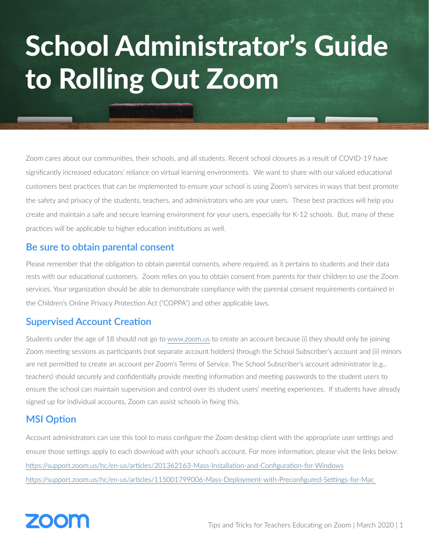# School Administrator's Guide to Rolling Out Zoom

Zoom cares about our communities, their schools, and all students. Recent school closures as a result of COVID-19 have significantly increased educators' reliance on virtual learning environments. We want to share with our valued educational customers best practices that can be implemented to ensure your school is using Zoom's services in ways that best promote the safety and privacy of the students, teachers, and administrators who are your users. These best practices will help you create and maintain a safe and secure learning environment for your users, especially for K-12 schools. But, many of these practices will be applicable to higher education institutions as well.

#### **Be sure to obtain parental consent**

Please remember that the obligation to obtain parental consents, where required, as it pertains to students and their data rests with our educational customers. Zoom relies on you to obtain consent from parents for their children to use the Zoom services. Your organization should be able to demonstrate compliance with the parental consent requirements contained in the Children's Online Privacy Protection Act ("COPPA") and other applicable laws.

#### **Supervised Account Creation**

Students under the age of 18 should not go to [www.zoom.us](http://www.zoom.us) to create an account because (i) they should only be joining Zoom meeting sessions as participants (not separate account holders) through the School Subscriber's account and (ii) minors are not permitted to create an account per Zoom's Terms of Service. The School Subscriber's account administrator (e.g., teachers) should securely and confidentially provide meeting information and meeting passwords to the student users to ensure the school can maintain supervision and control over its student users' meeting experiences. If students have already signed up for individual accounts, Zoom can assist schools in fixing this.

#### **MSI Option**

Account administrators can use this tool to mass configure the Zoom desktop client with the appropriate user settings and ensure those settings apply to each download with your school's account. For more information, please visit the links below: <https://support.zoom.us/hc/en-us/articles/201362163-Mass-Installation-and-Configuration-for-Windows> [https://support.zoom.us/hc/en-us/articles/115001799006-Mass-Deployment-with-Preconfigured-Settings-for-Mac](https://support.zoom.us/hc/en-us/articles/115001799006-Mass-Deployment-with-Preconfigured-Settings-f) 

# **70011**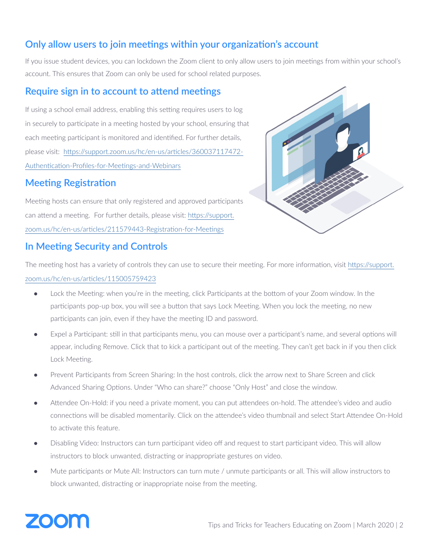# **Only allow users to join meetings within your organization's account**

If you issue student devices, you can lockdown the Zoom client to only allow users to join meetings from within your school's account. This ensures that Zoom can only be used for school related purposes.

#### **Require sign in to account to attend meetings**

If using a school email address, enabling this setting requires users to log in securely to participate in a meeting hosted by your school, ensuring that each meeting participant is monitored and identified. For further details, please visit: [https://support.zoom.us/hc/en-us/articles/360037117472-](https://support.zoom.us/hc/en-us/articles/360037117472-Authentication-Profiles-for-Meetings-and-Webi) [Authentication-Profiles-for-Meetings-and-Webinars](https://support.zoom.us/hc/en-us/articles/360037117472-Authentication-Profiles-for-Meetings-and-Webi)

#### **Meeting Registration**

Meeting hosts can ensure that only registered and approved participants can attend a meeting. For further details, please visit: [https://support.](https://support.zoom.us/hc/en-us/articles/211579443-Registration-for-Meetings ) [zoom.us/hc/en-us/articles/211579443-Registration-for-Meetings](https://support.zoom.us/hc/en-us/articles/211579443-Registration-for-Meetings )

#### **In Meeting Security and Controls**



The meeting host has a variety of controls they can use to secure their meeting. For more information, visit [https://support.](https://support.zoom.us/hc/en-us/articles/115005759423) [zoom.us/hc/en-us/articles/115005759423](https://support.zoom.us/hc/en-us/articles/115005759423)

- Lock the Meeting: when you're in the meeting, click Participants at the bottom of your Zoom window. In the participants pop-up box, you will see a button that says Lock Meeting. When you lock the meeting, no new participants can join, even if they have the meeting ID and password.
- Expel a Participant: still in that participants menu, you can mouse over a participant's name, and several options will appear, including Remove. Click that to kick a participant out of the meeting. They can't get back in if you then click Lock Meeting.
- Prevent Participants from Screen Sharing: In the host controls, click the arrow next to Share Screen and click Advanced Sharing Options. Under "Who can share?" choose "Only Host" and close the window.
- Attendee On-Hold: if you need a private moment, you can put attendees on-hold. The attendee's video and audio connections will be disabled momentarily. Click on the attendee's video thumbnail and select Start Attendee On-Hold to activate this feature.
- Disabling Video: Instructors can turn participant video off and request to start participant video. This will allow instructors to block unwanted, distracting or inappropriate gestures on video.
- Mute participants or Mute All: Instructors can turn mute / unmute participants or all. This will allow instructors to block unwanted, distracting or inappropriate noise from the meeting.